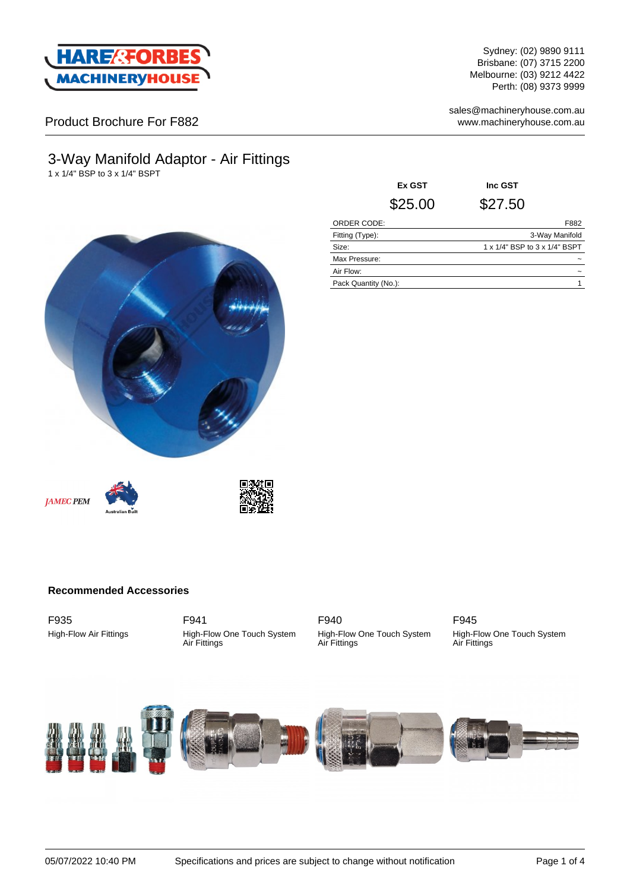

Sydney: (02) 9890 9111 Brisbane: (07) 3715 2200 Melbourne: (03) 9212 4422 Perth: (08) 9373 9999

sales@machineryhouse.com.au www.machineryhouse.com.au

### Product Brochure For F882

# 3-Way Manifold Adaptor - Air Fittings

1 x 1/4" BSP to 3 x 1/4" BSPT

**Ex GST Inc GST** \$25.00 \$27.50 ORDER CODE: F882 Fitting (Type): 3-Way Manifold Size: 1 x 1/4" BSP to 3 x 1/4" BSPT Max Pressure: Air Flow:  $\sim$ Pack Quantity (No.): 1









#### **Recommended Accessories**

F935 High-Flow Air Fittings

F941 High-Flow One Touch System Air Fittings

F940 High-Flow One Touch System Air Fittings

F945 High-Flow One Touch System Air Fittings

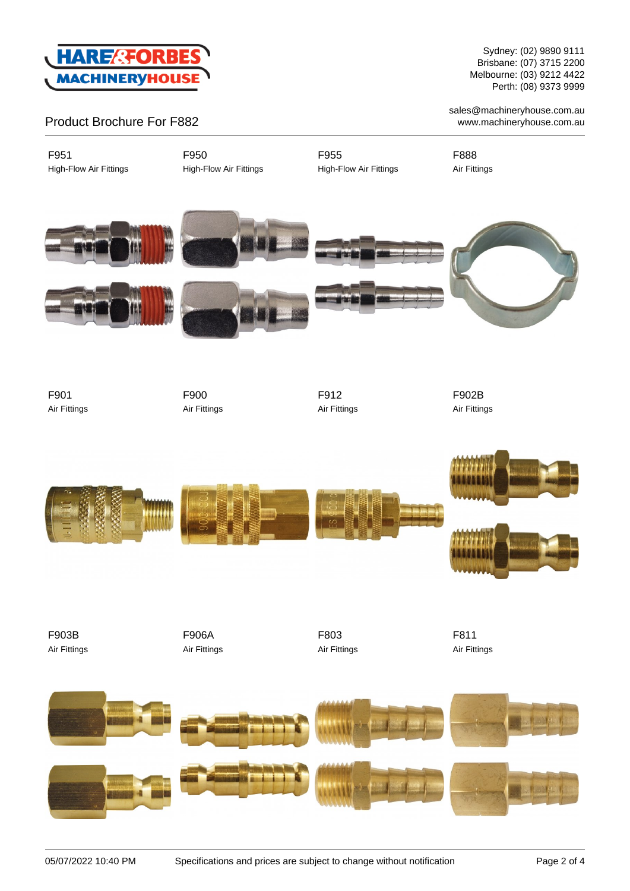

Sydney: (02) 9890 9111 Brisbane: (07) 3715 2200 Melbourne: (03) 9212 4422 Perth: (08) 9373 9999

sales@machineryhouse.com.au www.machineryhouse.com.au

### Product Brochure For F882

F951 High-Flow Air Fittings F950 High-Flow Air Fittings F955 High-Flow Air Fittings F888 Air Fittings











F901 Air Fittings F900 Air Fittings



F902B Air Fittings



F903B Air Fittings F906A Air Fittings F803 Air Fittings F811 Air Fittings

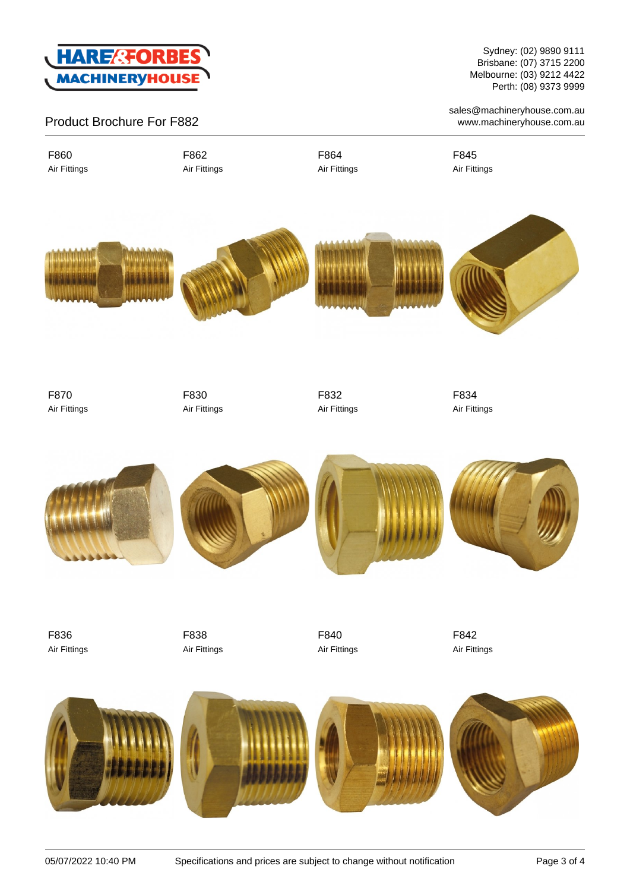

## Product Brochure For F882

F860 Air Fittings F862 Air Fittings F864 Air Fittings F845 Air Fittings



F870 Air Fittings F830 Air Fittings F832 Air Fittings F834 Air Fittings



F836 Air Fittings F838 Air Fittings F840 Air Fittings F842 Air Fittings



Sydney: (02) 9890 9111 Brisbane: (07) 3715 2200 Melbourne: (03) 9212 4422 Perth: (08) 9373 9999

sales@machineryhouse.com.au www.machineryhouse.com.au